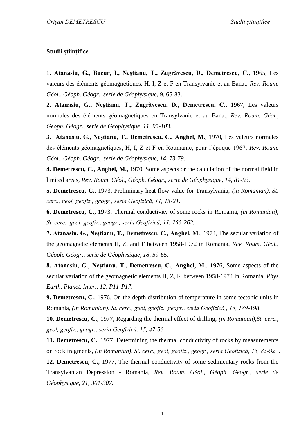## **Studii științifice**

**1. Atanasiu, G., Bucur, I., Neștianu, T., Zugrăvescu, D., Demetrescu, C.**, 1965, Les valeurs des éléments géomagnetiques, H, I, Z et F en Transylvanie et au Banat, *Rev. Roum. Géol., Géoph. Géogr., serie de Géophysique*, 9, 65-83.

**2. Atanasiu, G., Neștianu, T., Zugrăvescu, D., Demetrescu, C.**, 1967, Les valeurs normales des éléments géomagnetiques en Transylvanie et au Banat, *Rev. Roum. Géol., Géoph. Géogr., serie de Géophysique, 11, 95-103.*

**3. Atanasiu, G., Neștianu, T., Demetrescu, C., Anghel, M.**, 1970, Les valeurs normales des éléments géomagnetiques, H, I, Z et F en Roumanie, pour l'époque 1967, *Rev. Roum. Géol., Géoph. Géogr., serie de Géophysique, 14, 73-79.*

**4. Demetrescu, C., Anghel, M.,** 1970, Some aspects or the calculation of the normal field in limited areas, *Rev. Roum. Géol., Géoph. Géogr., serie de Géophysique, 14, 81-93.*

**5. Demetrescu, C.**, 1973, Preliminary heat flow value for Transylvania, *(in Romanian), St. cerc., geol, geofiz., geogr., seria Geofizică, 11, 13-21.*

**6. Demetrescu, C.***,* 1973, Thermal conductivity of some rocks in Romania, *(in Romanian)*, *St. cerc., geol, geofiz., geogr., seria Geofizică, 11, 255-262.*

**7. Atanasiu, G., Neștianu, T., Demetrescu, C., Anghel, M.**, 1974, The secular variation of the geomagnetic elements H, Z, and F between 1958-1972 in Romania, *Rev. Roum. Géol., Géoph. Géogr., serie de Géophysique, 18, 59-65.*

**8. Atanasiu, G., Neștianu, T., Demetrescu, C., Anghel, M.**, 1976, Some aspects of the secular variation of the geomagnetic elements H, Z, F, between 1958-1974 in Romania, *Phys. Earth. Planet. Inter., 12, P11-P17.*

**9. Demetrescu, C.**, 1976, On the depth distribution of temperature in some tectonic units in Romania, *(in Romanian)*, *St. cerc., geol, geofiz., geogr., seria Geofizică,, 14, 189-198.*

**10. Demetrescu, C.**, 1977, Regarding the thermal effect of drilling, *(in Romanian),St. cerc., geol, geofiz., geogr., seria Geofizică, 15, 47-56.*

**11. Demetrescu, C.**, 1977, Determining the thermal conductivity of rocks by measurements on rock fragments, *(in Romanian), St. cerc., geol, geofiz., geogr., seria Geofizică, 15, 85-92 .*

**12. Demetrescu, C.**, 1977, The thermal conductivity of some sedimentary rocks from the Transylvanian Depression - Romania, *Rev. Roum. Géol., Géoph. Géogr., serie de Géophysique, 21, 301-307.*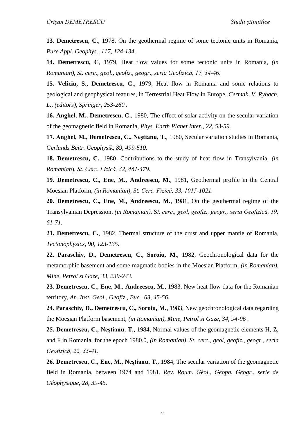**13. Demetrescu, C.**, 1978, On the geothermal regime of some tectonic units in Romania, *Pure Appl. Geophys., 117, 124-134*.

**14. Demetrescu, C**, 1979, Heat flow values for some tectonic units in Romania, *(in Romanian), St. cerc., geol., geofiz., geogr., seria Geofizică, 17, 34-46*.

**15. Veliciu, S., Demetrescu, C.**, 1979, Heat flow in Romania and some relations to geological and geophysical features, in Terrestrial Heat Flow in Europe, *Cermak, V. Rybach, L., (editors), Springer, 253-260 .*

**16. Anghel, M., Demetrescu, C.**, 1980, The effect of solar activity on the secular variation of the geomagnetic field in Romania, *Phys. Earth Planet Inter., 22, 53-59.*

**17. Anghel, M., Demetrescu, C., Neștianu, T.**, 1980, Secular variation studies in Romania, *Gerlands Beitr. Geophysik, 89, 499-510*.

**18. Demetrescu, C.**, 1980, Contributions to the study of heat flow in Transylvania, *(in Romanian*), *St. Cerc. Fizică, 32, 461-479*.

**19. Demetrescu, C., Ene, M., Andreescu, M.**, 1981, Geothermal profile in the Central Moesian Platform, *(in Romanian), St. Cerc. Fizică, 33, 1015-1021.*

**20. Demetrescu, C., Ene, M., Andreescu, M.**, 1981, On the geothermal regime of the Transylvanian Depression, *(in Romanian),* S*t. cerc., geol, geofiz., geogr., seria Geofizică, 19, 61-71.*

**21. Demetrescu, C.**, 1982, Thermal structure of the crust and upper mantle of Romania, *Tectonophysics, 90, 123-135.*

**22. Paraschiv, D., Demetrescu, C., Soroiu, M.**, 1982, Geochronological data for the metamorphic basement and some magmatic bodies in the Moesian Platform, *(in Romanian), Mine, Petrol si Gaze, 33, 239-243.*

**23. Demetrescu, C., Ene, M., Andreescu, M.**, 1983, New heat flow data for the Romanian territory, *An. Inst. Geol., Geofiz., Buc., 63, 45-56.*

**24. Paraschiv, D., Demetrescu, C., Soroiu, M.**, 1983, New geochronological data regarding the Moesian Platform basement, *(in Romanian), Mine, Petrol si Gaze, 34, 94-96 .*

**25. Demetrescu, C., Neștianu**, **T.**, 1984, Normal values of the geomagnetic elements H, Z, and F in Romania, for the epoch 1980.0*, (in Romanian)*, *St. cerc., geol, geofiz., geogr., seria Geofizică, 22, 35-41.*

**26. Demetrescu, C., Ene, M., Neștianu, T.**, 1984, The secular variation of the geomagnetic field in Romania, between 1974 and 1981, *Rev. Roum. Géol., Géoph. Géogr., serie de Géophysique, 28, 39-45.*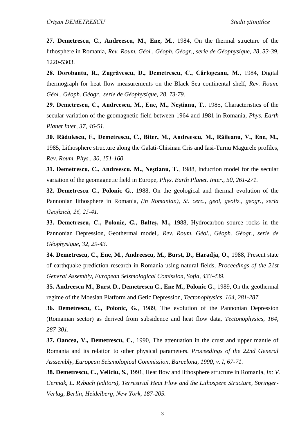**27. Demetrescu, C., Andreescu, M., Ene, M.**, 1984, On the thermal structure of the lithosphere in Romania, *Rev. Roum. Géol., Géoph. Géogr., serie de Géophysique, 28, 33-39,* 1220-5303.

**28. Dorobantu, R., Zugrăvescu, D., Demetrescu, C., Cârlogeanu, M.**, 1984, Digital thermograph for heat flow measurements on the Black Sea continental shelf, *Rev. Roum. Géol., Géoph. Géogr., serie de Géophysique, 28, 73-79.*

**29. Demetrescu, C., Andreescu, M., Ene, M., Neștianu, T.**, 1985, Characteristics of the secular variation of the geomagnetic field between 1964 and 1981 in Romania, *Phys. Earth Planet Inter, 37, 46-51.*

**30. Rădulescu, F., Demetrescu, C., Biter, M., Andreescu, M., Răileanu, V., Ene, M.,**  1985, Lithosphere structure along the Galati-Chisinau Cris and Iasi-Turnu Magurele profiles, *Rev. Roum. Phys., 30, 151-160*.

**31. Demetrescu, C., Andreescu, M., Neștianu, T.**, 1988, Induction model for the secular variation of the geomagnetic field in Europe, *Phys. Earth Planet. Inter., 50, 261-271.*

**32. Demetrescu C., Polonic G.**, 1988, On the geological and thermal evolution of the Pannonian lithosphere in Romania, *(in Romanian), St. cerc., geol, geofiz., geogr., seria Geofizică, 26, 25-41.*

**33. Demetrescu, C., Polonic, G., Balteș, M.,** 1988, Hydrocarbon source rocks in the Pannonian Depression, Geothermal model*,. Rev. Roum. Géol., Géoph. Géogr., serie de Géophysique, 32, 29-43.*

**34. Demetrescu, C., Ene, M., Andreescu, M., Burst, D., Haradja, O.**, 1988, Present state of earthquake prediction research in Romania using natural fields, *Proceedings of the 21st General Assembly, European Seismological Comission, Sofia, 433-439.*

**35. Andreescu M., Burst D., Demetrescu C., Ene M., Polonic G.**, 1989, On the geothermal regime of the Moesian Platform and Getic Depression, *Tectonophysics, 164, 281-287*.

**36. Demetrescu, C., Polonic, G.**, 1989, The evolution of the Pannonian Depression (Romanian sector) as derived from subsidence and heat flow data, *Tectonophysics, 164, 287-301.*

**37. Oancea, V., Demetrescu, C.**, 1990, The attenuation in the crust and upper mantle of Romania and its relation to other physical parameters. *Proceedings of the 22nd General Asssembly, European Seismological Commission, Barcelona, 1990, v. I, 67-71.*

**38. Demetrescu, C., Veliciu, S.**, 1991, Heat flow and lithosphere structure in Romania, *In: V. Cermak, L. Rybach (editors), Terrestrial Heat Flow and the Lithospere Structure, Springer-Verlag, Berlin, Heidelberg, New York, 187-205.*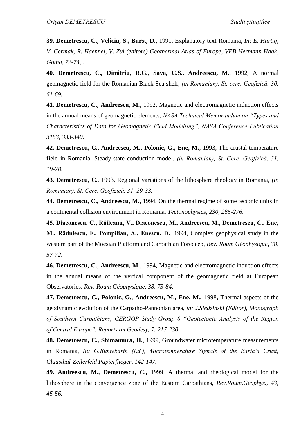**39. Demetrescu, C., Veliciu, S., Burst, D.**, 1991, Explanatory text-Romania, *In: E. Hurtig, V. Cermak, R. Haennel, V. Zui (editors) Geothermal Atlas of Europe, VEB Hermann Haak, Gotha, 72-74, .*

**40. Demetrescu, C., Dimitriu, R.G., Sava, C.S., Andreescu, M.**, 1992, A normal geomagnetic field for the Romanian Black Sea shelf, *(in Romanian), St. cerc. Geofizică, 30, 61-69.*

**41. Demetrescu, C., Andreescu, M.**, 1992, Magnetic and electromagnetic induction effects in the annual means of geomagnetic elements, *NASA Technical Memorandum on "Types and Characteristics of Data for Geomagnetic Field Modelling", NASA Conference Publication 3153, 333-340.*

**42. Demetrescu, C., Andreescu, M., Polonic, G., Ene, M.**, 1993, The crustal temperature field in Romania. Steady-state conduction model. *(in Romanian), St. Cerc. Geofizică, 31, 19-28.* 

**43. Demetrescu, C.**, 1993, Regional variations of the lithosphere rheology in Romania, *(in Romanian), St. Cerc. Geofizică, 31, 29-33.*

**44. Demetrescu, C., Andreescu, M.**, 1994, On the thermal regime of some tectonic units in a continental collision environment in Romania, *Tectonophysics, 230, 265-276.*

**45. Diaconescu, C., Răileanu, V., Diaconescu, M., Andreescu, M., Demetrescu, C., Ene, M., Rădulescu, F., Pompilian, A., Enescu, D.**, 1994, Complex geophysical study in the western part of the Moesian Platform and Carpathian Foredeep, *Rev. Roum Géophysique, 38, 57-72*.

**46. Demetrescu, C., Andreescu, M.**, 1994, Magnetic and electromagnetic induction effects in the annual means of the vertical component of the geomagnetic field at European Observatories, *Rev. Roum Géophysique, 38, 73-84.*

**47. Demetrescu, C., Polonic, G., Andreescu, M., Ene, M.,** 1998**,** Thermal aspects of the geodynamic evolution of the Carpatho-Pannonian area, *în: J.Sledzinski (Editor), Monograph of Southern Carpathians, CERGOP Study Group 8 "Geotectonic Analysis of the Region of Central Europe", Reports on Geodesy, 7, 217-230.*

**48. Demetrescu, C., Shimamura, H.**, 1999, Groundwater microtemperature measurements in Romania, *In: G.Buntebarth (Ed.), Microtemperature Signals of the Earth's Crust, Clausthal-Zellerfeld Papierflieger, 142-147.*

**49. Andreescu, M., Demetrescu, C.,** 1999, A thermal and rheological model for the lithosphere in the convergence zone of the Eastern Carpathians, *Rev.Roum.Geophys., 43, 45-56.*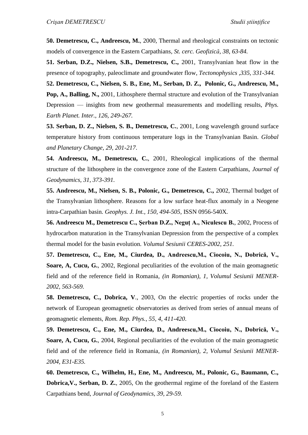**50. Demetrescu, C., Andreescu, M.**, 2000, Thermal and rheological constraints on tectonic models of convergence in the Eastern Carpathians*, St. cerc. Geofizică*, *38*, *63-84.*

**51. Serban, D.Z., Nielsen, S.B., Demetrescu, C.,** 2001, Transylvanian heat flow in the presence of topography, paleoclimate and groundwater flow, *Tectonophysics ,335, 331-344.*

**52. Demetrescu, C., Nielsen, S. B., Ene, M., Serban, D. Z., Polonic, G., Andreescu, M., Pop, A., Balling, N.,** 2001, Lithosphere thermal structure and evolution of the Transylvanian Depression — insights from new geothermal measurements and modelling results, *Phys. Earth Planet. Inter., 126, 249-267.*

**53. Serban, D. Z., Nielsen, S. B., Demetrescu, C.**, 2001, Long wavelength ground surface temperature history from continuous temperature logs in the Transylvanian Basin. *Global and Planetary Change, 29, 201-217*.

**54. Andreescu, M., Demetrescu, C.**, 2001, Rheological implications of the thermal structure of the lithosphere in the convergence zone of the Eastern Carpathians, *Journal of Geodynamics, 31, 373-391.*

**55. Andreescu, M., Nielsen, S. B., Polonic, G., Demetrescu, C.,** 2002, Thermal budget of the Transylvanian lithosphere. Reasons for a low surface heat-flux anomaly in a Neogene intra-Carpathian basin. *Geophys. J. Int., 150, 494-505,* ISSN 0956-540X*.*

**56. Andreescu M., Demetrescu C., Şerban D.Z., Neguţ A., Niculescu B.**, 2002, Process of hydrocarbon maturation in the Transylvanian Depression from the perspective of a complex thermal model for the basin evolution*. Volumul Sesiunii CERES-2002, 251.*

**57. Demetrescu, C., Ene, M., Ciurdea, D., Andreescu,M., Ciocoiu, N., Dobrică, V., Soare, A, Cucu, G.**, 2002, Regional peculiarities of the evolution of the main geomagnetic field and of the reference field in Romania*, (in Romanian), 1, Volumul Sesiunii MENER-2002, 563-569.*

**58. Demetrescu, C., Dobrica, V**., 2003, On the electric properties of rocks under the network of European geomagnetic observatories as derived from series of annual means of geomagnetic elements, *Rom. Rep. Phys., 55, 4, 411-420*.

**59. Demetrescu, C., Ene, M., Ciurdea, D., Andreescu,M., Ciocoiu, N., Dobrică, V., Soare, A, Cucu, G.**, 2004, Regional peculiarities of the evolution of the main geomagnetic field and of the reference field in Romania*, (in Romanian), 2, Volumul Sesiunii MENER-2004, E31-E35.*

**60. Demetrescu, C., Wilhelm, H., Ene, M., Andreescu, M., Polonic, G., Baumann, C., Dobrica,V., Serban, D. Z.**, 2005, On the geothermal regime of the foreland of the Eastern Carpathians bend, *Journal of Geodynamics, 39, 29-59.*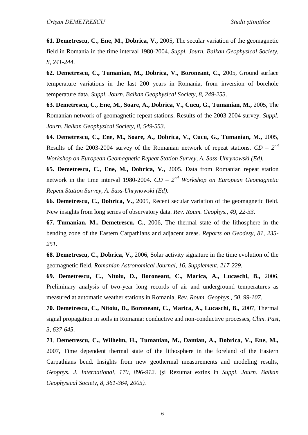**61. Demetrescu, C., Ene, M., Dobrica, V.,** 2005**,** The secular variation of the geomagnetic field in Romania in the time interval 1980-2004. *Suppl. Journ. Balkan Geophysical Society, 8, 241-244*.

**62. Demetrescu, C., Tumanian, M., Dobrica, V., Boroneant, C.,** 2005, Ground surface temperature variations in the last 200 years in Romania, from inversion of borehole temperature data. *Suppl. Journ. Balkan Geophysical Society, 8, 249-253*.

**63. Demetrescu, C., Ene, M., Soare, A., Dobrica, V., Cucu, G., Tumanian, M.,** 2005, The Romanian network of geomagnetic repeat stations. Results of the 2003-2004 survey. *Suppl. Journ. Balkan Geophysical Society, 8, 549-553*.

**64. Demetrescu, C., Ene, M., Soare, A., Dobrica, V., Cucu, G., Tumanian, M.,** 2005, Results of the 2003-2004 survey of the Romanian network of repeat stations.  $CD - 2<sup>nd</sup>$ *Workshop on European Geomagnetic Repeat Station Survey, A. Sass-Uhrynowski (Ed).*

**65. Demetrescu, C., Ene, M., Dobrica, V.,** 2005. Data from Romanian repeat station network in the time interval 1980-2004. *CD – 2 nd Workshop on European Geomagnetic Repeat Station Survey, A. Sass-Uhrynowski (Ed).* 

**66. Demetrescu, C., Dobrica, V.,** 2005, Recent secular variation of the geomagnetic field. New insights from long series of observatory data. *Rev. Roum. Geophys., 49, 22-33*.

**67. Tumanian, M., Demetrescu, C.**, 2006, The thermal state of the lithosphere in the bending zone of the Eastern Carpathians and adjacent areas. *Reports on Geodesy, 81, 235- 251.*

**68. Demetrescu, C., Dobrica, V.,** 2006, Solar activity signature in the time evolution of the geomagnetic field, *Romanian Astronomical Journal, 16, Supplement, 217-229.*

**69. Demetrescu, C., Nitoiu, D., Boroneant, C., Marica, A., Lucaschi, B.,** 2006, Preliminary analysis of two-year long records of air and underground temperatures as measured at automatic weather stations in Romania, *Rev. Roum. Geophys., 50, 99-107*.

**70. Demetrescu, C., Nitoiu, D., Boroneant, C., Marica, A., Lucaschi, B.,** 2007, Thermal signal propagation in soils in Romania: conductive and non-conductive processes, *Clim. Past, 3, 637-645*.

**71**. **Demetrescu, C., Wilhelm, H., Tumanian, M., Damian, A., Dobrica, V., Ene, M.,**  2007, Time dependent thermal state of the lithosphere in the foreland of the Eastern Carpathians bend. Insights from new geothermal measurements and modeling results, *Geophys. J. International, 170, 896-912*. (şi Rezumat extins in *Suppl. Journ. Balkan Geophysical Society, 8, 361-364, 2005).*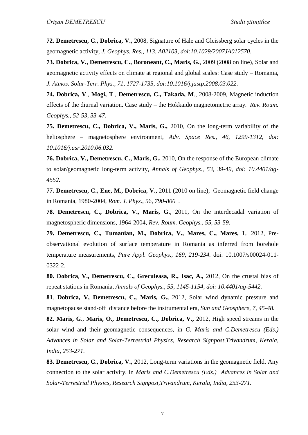**72. Demetrescu, C., Dobrica, V.,** 2008, Signature of Hale and Gleissberg solar cycles in the geomagnetic activity, *J. Geophys. Res., 113, A02103, doi:10.1029/2007JA012570*.

**73. Dobrica, V., Demetrescu, C., Boroneant, C., Maris, G.**, 2009 (2008 on line), Solar and geomagnetic activity effects on climate at regional and global scales: Case study – Romania, *J. Atmos. Solar-Terr. Phys., 71, 1727-1735, doi:10.1016/j.jastp.2008.03.022*.

**74. Dobrica, V**., **Mogi, T**., **Demetrescu, C., Takada, M**., 2008-2009, Magnetic induction effects of the diurnal variation. Case study – the Hokkaido magnetometric array*. Rev. Roum. Geophys., 52-53, 33-47*.

**75. Demetrescu, C., Dobrica, V., Maris, G.,** 2010, On the long-term variability of the heliosphere – magnetosphere environment, *Adv. Space Res., 46, 1299-1312, doi: 10.1016/j.asr.2010.06.032.*

**76. Dobrica, V., Demetrescu, C., Maris, G.,** 2010, On the response of the European climate to solar/geomagnetic long-term activity, *Annals of Geophys., 53, 39-49, doi: 10.4401/ag-4552.*

**77. Demetrescu, C., Ene, M., Dobrica, V.,** 2011 (2010 on line), Geomagnetic field change in Romania, 1980-2004, *Rom. J. Phys*., 56, *790-800 .*

**78. Demetrescu, C., Dobrica, V., Maris, G**., 2011, On the interdecadal variation of magnetospheric dimensions, 1964-2004, *Rev. Roum. Geophys., 55, 53-59.*

**79. Demetrescu, C., Tumanian, M., Dobrica, V., Mares, C., Mares, I**., 2012, Preobservational evolution of surface temperature in Romania as inferred from borehole temperature measurements, *Pure Appl. Geophys., 169, 219-234.* doi: 10.1007/s00024-011- 0322-2.

**80. Dobrica, V., Demetrescu, C., Greculeasa, R., Isac, A.,** 2012, On the crustal bias of repeat stations in Romania, *Annals of Geophys., 55, 1145-1154, doi: 10.4401/ag-5442.*

**81**. **Dobrica, V, Demetrescu, C., Maris, G.,** 2012, Solar wind dynamic pressure and magnetopause stand-off distance before the instrumental era, *Sun and Geosphere, 7, 45-48.*

**82. Maris, G**., **Maris, O., Demetrescu, C., Dobrica, V.,** 2012, High speed streams in the solar wind and their geomagnetic consequences, in *G. Maris and C.Demetrescu (Eds.) Advances in Solar and Solar-Terrestrial Physics, Research Signpost,Trivandrum, Kerala, India, 253-271.*

**83. Demetrescu, C., Dobrica, V.,** 2012, Long-term variations in the geomagnetic field. Any connection to the solar activity, in *Maris and C.Demetrescu (Eds.) Advances in Solar and Solar-Terrestrial Physics, Research Signpost,Trivandrum, Kerala, India, 253-271.*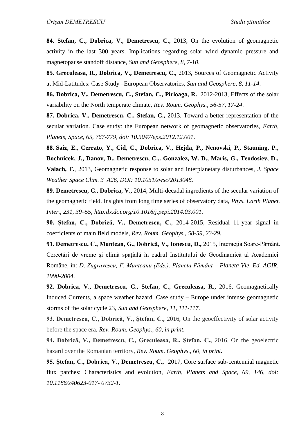**84. Stefan, C., Dobrica, V., Demetrescu, C.,** 2013, On the evolution of geomagnetic activity in the last 300 years. Implications regarding solar wind dynamic pressure and magnetopause standoff distance, *Sun and Geosphere, 8, 7-10*.

**85**. **Greculeasa, R., Dobrica, V., Demetrescu, C.,** 2013, Sources of Geomagnetic Activity at Mid-Latitudes: Case Study –European Observatories, *Sun and Geosphere, 8, 11-14*.

**86. Dobrica, V., Demetrescu, C., Stefan, C., Pirloaga, R.**, 2012-2013, Effects of the solar variability on the North temperate climate, *Rev. Roum. Geophys., 56-57, 17-24*.

**87. Dobrica, V., Demetrescu, C., Stefan, C.,** 2013, Toward a better representation of the secular variation. Case study: the European network of geomagnetic observatories, *Earth, Planets, Space, 65, 767-779, doi: 10.5047/eps.2012.12.001*.

**88. Saiz, E., Cerrato, Y., Cid, C., Dobrica, V., Hejda, P., Nenovski, P., Stauning, P., Bochnicek, J., Danov, D., Demetrescu, C.,. Gonzalez, W. D., Maris, G., Teodosiev, D., Valach, F.**, 2013, Geomagnetic response to solar and interplanetary disturbances, *J. Space Weather Space Clim. 3 A26, DOI: 10.1051/swsc/2013048.*

**89. Demetrescu, C., Dobrica, V.,** 2014, Multi-decadal ingredients of the secular variation of the geomagnetic field. Insights from long time series of observatory data, *Phys. Earth Planet. Inter., 231, 39–55*, *http:dx.doi.org/10.1016/j.pepi.2014.03.001.*

**90. Ștefan, C., Dobrică, V., Demetrescu, C.**, 2014-2015, Residual 11-year signal in coefficients of main field models, *Rev. Roum. Geophys., 58-59, 23-29.*

**91**. **Demetrescu, C., Muntean, G., Dobrică, V., Ionescu, D.,** 2015**,** Interacția Soare-Pământ. Cercetări de vreme și climă spațială în cadrul Institutului de Geodinamică al Academiei Române, în: *D, Zugravescu, F. Munteanu (Eds.), Planeta Pământ – Planeta Vie, Ed. AGIR, 1990-2004*.

**92. Dobrica, V., Demetrescu, C., Stefan, C., Greculeasa, R.,** 2016, Geomagnetically Induced Currents, a space weather hazard. Case study – Europe under intense geomagnetic storms of the solar cycle 23, *Sun and Geosphere, 11, 111-117*.

**93. Demetrescu, C., Dobrică, V., Ștefan, C.,** 2016, On the geoeffectivity of solar activity before the space era, *Rev. Roum. Geophys., 60, in print.*

**94. Dobrică, V., Demetrescu, C., Greculeasa, R., Ştefan, C.,** 2016, On the geoelectric hazard over the Romanian territory, *Rev. Roum. Geophys., 60, in print.*

**95. Ștefan, C., Dobrica, V., Demetrescu, C.,** 2017, Core surface sub-centennial magnetic flux patches: Characteristics and evolution, *Earth, Planets and Space, 69, 146, doi: 10.1186/s40623-017- 0732-1.*